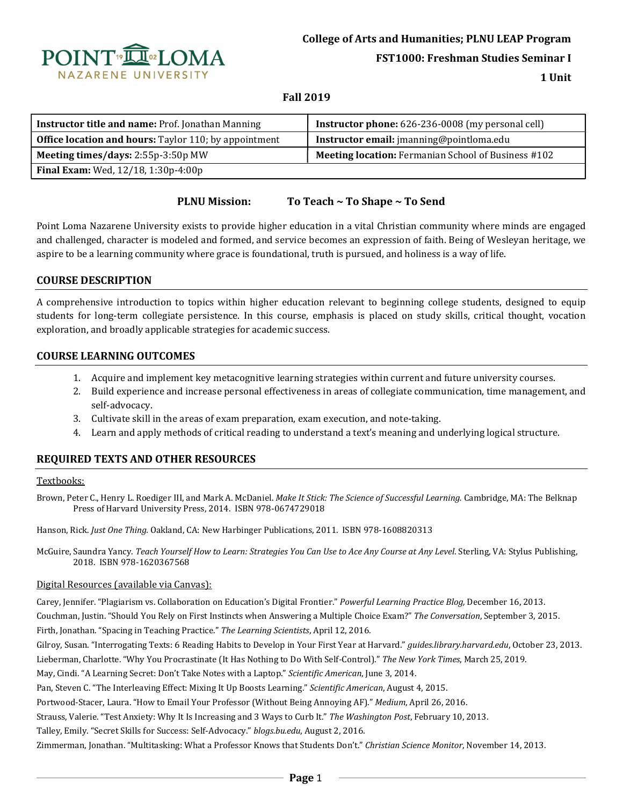

**College of Arts and Humanities; PLNU LEAP Program**

**FST1000: Freshman Studies Seminar I**

**1 Unit**

## **Fall 2019**

| Instructor title and name: Prof. Jonathan Manning            | <b>Instructor phone:</b> 626-236-0008 (my personal cell)   |
|--------------------------------------------------------------|------------------------------------------------------------|
| <b>Office location and hours:</b> Taylor 110; by appointment | Instructor email: jmanning@pointloma.edu                   |
| Meeting times/days: 2:55p-3:50p MW                           | <b>Meeting location:</b> Fermanian School of Business #102 |
| <b>Final Exam:</b> Wed, 12/18, 1:30p-4:00p                   |                                                            |

## **PLNU Mission: To Teach ~ To Shape ~ To Send**

Point Loma Nazarene University exists to provide higher education in a vital Christian community where minds are engaged and challenged, character is modeled and formed, and service becomes an expression of faith. Being of Wesleyan heritage, we aspire to be a learning community where grace is foundational, truth is pursued, and holiness is a way of life.

## **COURSE DESCRIPTION**

A comprehensive introduction to topics within higher education relevant to beginning college students, designed to equip students for long-term collegiate persistence. In this course, emphasis is placed on study skills, critical thought, vocation exploration, and broadly applicable strategies for academic success.

### **COURSE LEARNING OUTCOMES**

- 1. Acquire and implement key metacognitive learning strategies within current and future university courses.
- 2. Build experience and increase personal effectiveness in areas of collegiate communication, time management, and self-advocacy.
- 3. Cultivate skill in the areas of exam preparation, exam execution, and note-taking.
- 4. Learn and apply methods of critical reading to understand a text's meaning and underlying logical structure.

# **REQUIRED TEXTS AND OTHER RESOURCES**

#### Textbooks:

Brown, Peter C., Henry L. Roediger III, and Mark A. McDaniel. *Make It Stick: The Science of Successful Learning.* Cambridge, MA: The Belknap Press of Harvard University Press, 2014. ISBN 978-0674729018

Hanson, Rick. *Just One Thing.* Oakland, CA: New Harbinger Publications, 2011. ISBN 978-1608820313

McGuire, Saundra Yancy. *Teach Yourself How to Learn: Strategies You Can Use to Ace Any Course at Any Level*. Sterling, VA: Stylus Publishing, 2018. ISBN 978-1620367568

### Digital Resources (available via Canvas):

Carey, Jennifer. "Plagiarism vs. Collaboration on Education's Digital Frontier." *Powerful Learning Practice Blog,* December 16, 2013. Couchman, Justin. "Should You Rely on First Instincts when Answering a Multiple Choice Exam?" *The Conversation*, September 3, 2015.

Firth, Jonathan. "Spacing in Teaching Practice." *The Learning Scientists*, April 12, 2016.

Gilroy, Susan. "Interrogating Texts: 6 Reading Habits to Develop in Your First Year at Harvard." *guides.library.harvard.edu*, October 23, 2013.

Lieberman, Charlotte. "Why You Procrastinate (It Has Nothing to Do With Self-Control)." *The New York Times*, March 25, 2019.

May, Cindi. "A Learning Secret: Don't Take Notes with a Laptop." *Scientific American*, June 3, 2014.

Pan, Steven C. "The Interleaving Effect: Mixing It Up Boosts Learning." *Scientific American*, August 4, 2015.

Portwood-Stacer, Laura. "How to Email Your Professor (Without Being Annoying AF)." *Medium*, April 26, 2016.

Strauss, Valerie. "Test Anxiety: Why It Is Increasing and 3 Ways to Curb It." *The Washington Post*, February 10, 2013.

Talley, Emily. "Secret Skills for Success: Self-Advocacy." *blogs.bu.edu*, August 2, 2016.

Zimmerman, Jonathan. "Multitasking: What a Professor Knows that Students Don't." *Christian Science Monitor*, November 14, 2013.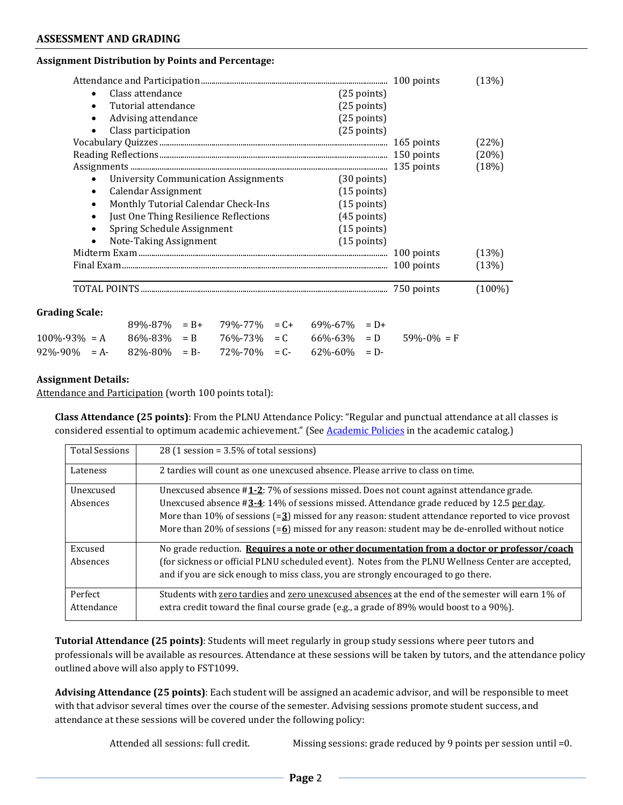#### **ASSESSMENT AND GRADING**

#### **Assignment Distribution by Points and Percentage:**

|                       |           |                                             |                                       |                                                       |               |                  | (13%)     |
|-----------------------|-----------|---------------------------------------------|---------------------------------------|-------------------------------------------------------|---------------|------------------|-----------|
|                       | $\bullet$ | Class attendance                            |                                       |                                                       | $(25$ points) |                  |           |
|                       |           | Tutorial attendance                         |                                       |                                                       | $(25$ points) |                  |           |
|                       | $\bullet$ | Advising attendance                         |                                       |                                                       | $(25$ points) |                  |           |
|                       |           | Class participation                         |                                       |                                                       | $(25$ points) |                  |           |
|                       |           |                                             |                                       |                                                       |               |                  | (22%)     |
|                       |           |                                             |                                       |                                                       |               |                  | (20%)     |
|                       |           |                                             |                                       |                                                       |               |                  | (18%)     |
|                       |           | <b>University Communication Assignments</b> |                                       |                                                       | $(30$ points) |                  |           |
|                       | $\bullet$ | Calendar Assignment                         |                                       |                                                       | $(15$ points) |                  |           |
|                       |           | Monthly Tutorial Calendar Check-Ins         |                                       |                                                       | $(15$ points) |                  |           |
|                       |           | Just One Thing Resilience Reflections       |                                       |                                                       | $(45$ points) |                  |           |
|                       |           | Spring Schedule Assignment                  |                                       |                                                       | $(15$ points) |                  |           |
|                       | $\bullet$ | Note-Taking Assignment                      |                                       |                                                       | $(15$ points) |                  |           |
|                       |           |                                             |                                       |                                                       |               |                  | (13%)     |
|                       |           |                                             |                                       |                                                       |               | 100 points       | (13%)     |
|                       |           |                                             |                                       |                                                       |               | 750 points       | $(100\%)$ |
| <b>Grading Scale:</b> |           |                                             |                                       |                                                       |               |                  |           |
|                       |           |                                             | $89\% - 87\% = B + 79\% - 77\% = C +$ | $69\% - 67\% = D +$                                   |               |                  |           |
| $100\% - 93\% = A$    |           |                                             |                                       | $86\% - 83\% = B$ $76\% - 73\% = C$ $66\% - 63\% = D$ |               | $59\% - 0\% = F$ |           |
| $92\% - 90\% = A$     |           | $82\% - 80\% = B$                           | $72\% - 70\% = C$                     | 62%-60%                                               | $= D -$       |                  |           |

#### **Assignment Details:**

Attendance and Participation (worth 100 points total):

**Class Attendance (25 points)**: From the PLNU Attendance Policy: "Regular and punctual attendance at all classes is considered essential to optimum academic achievement." (See Academic Policies in the academic catalog.)

| <b>Total Sessions</b> | 28 (1 session = $3.5\%$ of total sessions)                                                                    |
|-----------------------|---------------------------------------------------------------------------------------------------------------|
| Lateness              | 2 tardies will count as one unexcused absence. Please arrive to class on time.                                |
| Unexcused             | Unexcused absence #1-2: 7% of sessions missed. Does not count against attendance grade.                       |
| Absences              | Unexcused absence $\#3-4$ : 14% of sessions missed. Attendance grade reduced by 12.5 per day.                 |
|                       | More than 10% of sessions $(=2)$ missed for any reason: student attendance reported to vice provost           |
|                       | More than 20% of sessions $(=\underline{6})$ missed for any reason: student may be de-enrolled without notice |
| Excused               | No grade reduction. Requires a note or other documentation from a doctor or professor/coach                   |
| Absences              | (for sickness or official PLNU scheduled event). Notes from the PLNU Wellness Center are accepted,            |
|                       | and if you are sick enough to miss class, you are strongly encouraged to go there.                            |
| Perfect               | Students with zero tardies and zero unexcused absences at the end of the semester will earn 1% of             |
| Attendance            | extra credit toward the final course grade (e.g., a grade of 89% would boost to a 90%).                       |

**Tutorial Attendance (25 points)**: Students will meet regularly in group study sessions where peer tutors and professionals will be available as resources. Attendance at these sessions will be taken by tutors, and the attendance policy outlined above will also apply to FST1099.

**Advising Attendance (25 points)**: Each student will be assigned an academic advisor, and will be responsible to meet with that advisor several times over the course of the semester. Advising sessions promote student success, and attendance at these sessions will be covered under the following policy:

Attended all sessions: full credit. Missing sessions: grade reduced by 9 points per session until =0.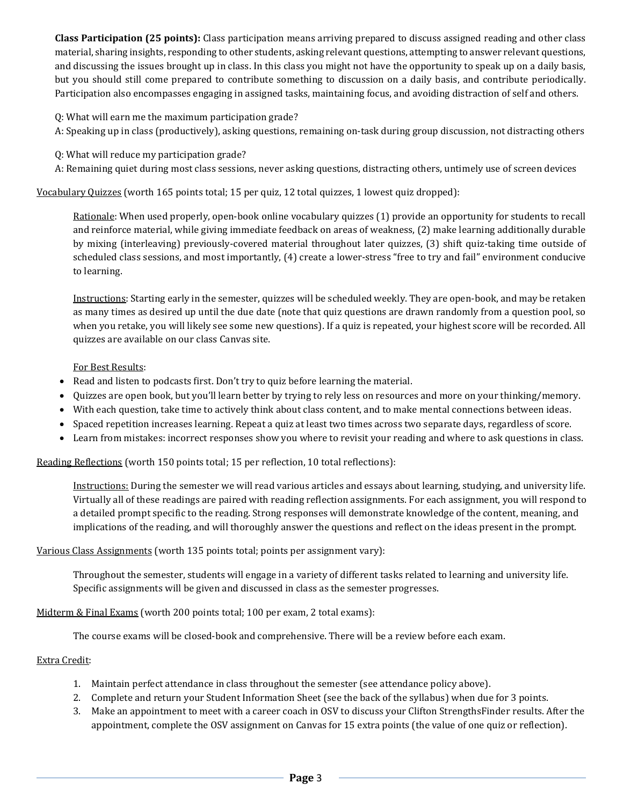**Class Participation (25 points):** Class participation means arriving prepared to discuss assigned reading and other class material, sharing insights, responding to other students, asking relevant questions, attempting to answer relevant questions, and discussing the issues brought up in class. In this class you might not have the opportunity to speak up on a daily basis, but you should still come prepared to contribute something to discussion on a daily basis, and contribute periodically. Participation also encompasses engaging in assigned tasks, maintaining focus, and avoiding distraction of self and others.

Q: What will earn me the maximum participation grade?

- A: Speaking up in class (productively), asking questions, remaining on-task during group discussion, not distracting others
- Q: What will reduce my participation grade?
- A: Remaining quiet during most class sessions, never asking questions, distracting others, untimely use of screen devices

Vocabulary Quizzes (worth 165 points total; 15 per quiz, 12 total quizzes, 1 lowest quiz dropped):

Rationale: When used properly, open-book online vocabulary quizzes (1) provide an opportunity for students to recall and reinforce material, while giving immediate feedback on areas of weakness, (2) make learning additionally durable by mixing (interleaving) previously-covered material throughout later quizzes, (3) shift quiz-taking time outside of scheduled class sessions, and most importantly, (4) create a lower-stress "free to try and fail" environment conducive to learning.

Instructions: Starting early in the semester, quizzes will be scheduled weekly. They are open-book, and may be retaken as many times as desired up until the due date (note that quiz questions are drawn randomly from a question pool, so when you retake, you will likely see some new questions). If a quiz is repeated, your highest score will be recorded. All quizzes are available on our class Canvas site.

For Best Results:

- Read and listen to podcasts first. Don't try to quiz before learning the material.
- Quizzes are open book, but you'll learn better by trying to rely less on resources and more on your thinking/memory.
- With each question, take time to actively think about class content, and to make mental connections between ideas.
- Spaced repetition increases learning. Repeat a quiz at least two times across two separate days, regardless of score.
- Learn from mistakes: incorrect responses show you where to revisit your reading and where to ask questions in class.

Reading Reflections (worth 150 points total; 15 per reflection, 10 total reflections):

Instructions: During the semester we will read various articles and essays about learning, studying, and university life. Virtually all of these readings are paired with reading reflection assignments. For each assignment, you will respond to a detailed prompt specific to the reading. Strong responses will demonstrate knowledge of the content, meaning, and implications of the reading, and will thoroughly answer the questions and reflect on the ideas present in the prompt.

### Various Class Assignments (worth 135 points total; points per assignment vary):

Throughout the semester, students will engage in a variety of different tasks related to learning and university life. Specific assignments will be given and discussed in class as the semester progresses.

Midterm & Final Exams (worth 200 points total; 100 per exam, 2 total exams):

The course exams will be closed-book and comprehensive. There will be a review before each exam.

### Extra Credit:

- 1. Maintain perfect attendance in class throughout the semester (see attendance policy above).
- 2. Complete and return your Student Information Sheet (see the back of the syllabus) when due for 3 points.
- 3. Make an appointment to meet with a career coach in OSV to discuss your Clifton StrengthsFinder results. After the appointment, complete the OSV assignment on Canvas for 15 extra points (the value of one quiz or reflection).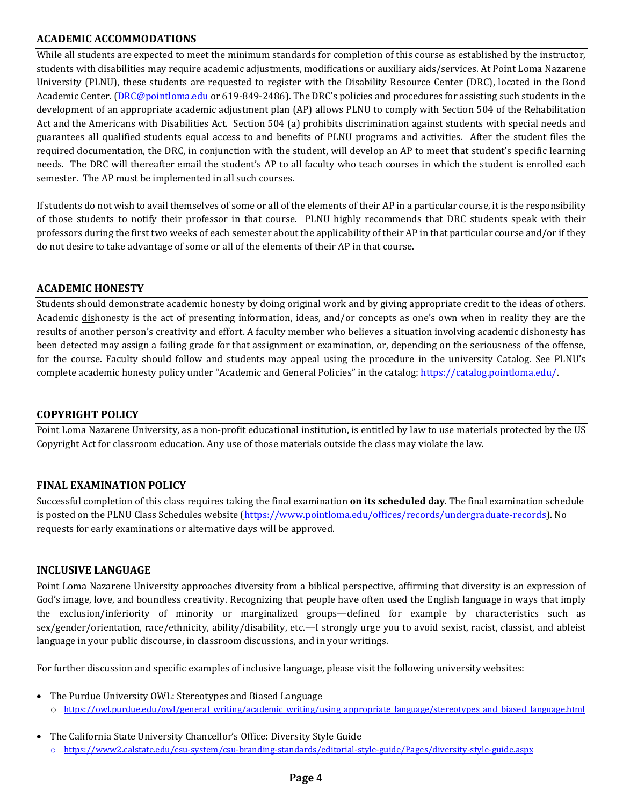# **ACADEMIC ACCOMMODATIONS**

While all students are expected to meet the minimum standards for completion of this course as established by the instructor, students with disabilities may require academic adjustments, modifications or auxiliary aids/services. At Point Loma Nazarene University (PLNU), these students are requested to register with the Disability Resource Center (DRC), located in the Bond Academic Center. (DRC@pointloma.edu or 619-849-2486). The DRC's policies and procedures for assisting such students in the development of an appropriate academic adjustment plan (AP) allows PLNU to comply with Section 504 of the Rehabilitation Act and the Americans with Disabilities Act. Section 504 (a) prohibits discrimination against students with special needs and guarantees all qualified students equal access to and benefits of PLNU programs and activities. After the student files the required documentation, the DRC, in conjunction with the student, will develop an AP to meet that student's specific learning needs. The DRC will thereafter email the student's AP to all faculty who teach courses in which the student is enrolled each semester. The AP must be implemented in all such courses.

If students do not wish to avail themselves of some or all of the elements of their AP in a particular course, it is the responsibility of those students to notify their professor in that course. PLNU highly recommends that DRC students speak with their professors during the first two weeks of each semester about the applicability of their AP in that particular course and/or if they do not desire to take advantage of some or all of the elements of their AP in that course.

### **ACADEMIC HONESTY**

Students should demonstrate academic honesty by doing original work and by giving appropriate credit to the ideas of others. Academic dishonesty is the act of presenting information, ideas, and/or concepts as one's own when in reality they are the results of another person's creativity and effort. A faculty member who believes a situation involving academic dishonesty has been detected may assign a failing grade for that assignment or examination, or, depending on the seriousness of the offense, for the course. Faculty should follow and students may appeal using the procedure in the university Catalog. See PLNU's complete academic honesty policy under "Academic and General Policies" in the catalog: https://catalog.pointloma.edu/.

### **COPYRIGHT POLICY**

Point Loma Nazarene University, as a non-profit educational institution, is entitled by law to use materials protected by the US Copyright Act for classroom education. Any use of those materials outside the class may violate the law.

## **FINAL EXAMINATION POLICY**

Successful completion of this class requires taking the final examination **on its scheduled day**. The final examination schedule is posted on the PLNU Class Schedules website (https://www.pointloma.edu/offices/records/undergraduate-records). No requests for early examinations or alternative days will be approved.

### **INCLUSIVE LANGUAGE**

Point Loma Nazarene University approaches diversity from a biblical perspective, affirming that diversity is an expression of God's image, love, and boundless creativity. Recognizing that people have often used the English language in ways that imply the exclusion/inferiority of minority or marginalized groups—defined for example by characteristics such as sex/gender/orientation, race/ethnicity, ability/disability, etc.—I strongly urge you to avoid sexist, racist, classist, and ableist language in your public discourse, in classroom discussions, and in your writings.

For further discussion and specific examples of inclusive language, please visit the following university websites:

- The Purdue University OWL: Stereotypes and Biased Language o https://owl.purdue.edu/owl/general\_writing/academic\_writing/using\_appropriate\_language/stereotypes\_and\_biased\_language.html
- The California State University Chancellor's Office: Diversity Style Guide o https://www2.calstate.edu/csu-system/csu-branding-standards/editorial-style-guide/Pages/diversity-style-guide.aspx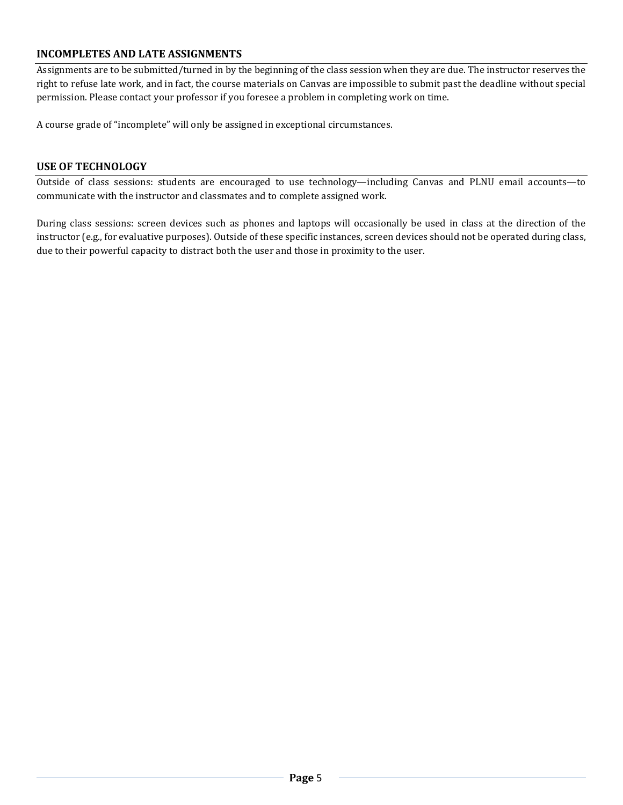# **INCOMPLETES AND LATE ASSIGNMENTS**

Assignments are to be submitted/turned in by the beginning of the class session when they are due. The instructor reserves the right to refuse late work, and in fact, the course materials on Canvas are impossible to submit past the deadline without special permission. Please contact your professor if you foresee a problem in completing work on time.

A course grade of "incomplete" will only be assigned in exceptional circumstances.

#### **USE OF TECHNOLOGY**

Outside of class sessions: students are encouraged to use technology—including Canvas and PLNU email accounts—to communicate with the instructor and classmates and to complete assigned work.

During class sessions: screen devices such as phones and laptops will occasionally be used in class at the direction of the instructor (e.g., for evaluative purposes). Outside of these specific instances, screen devices should not be operated during class, due to their powerful capacity to distract both the user and those in proximity to the user.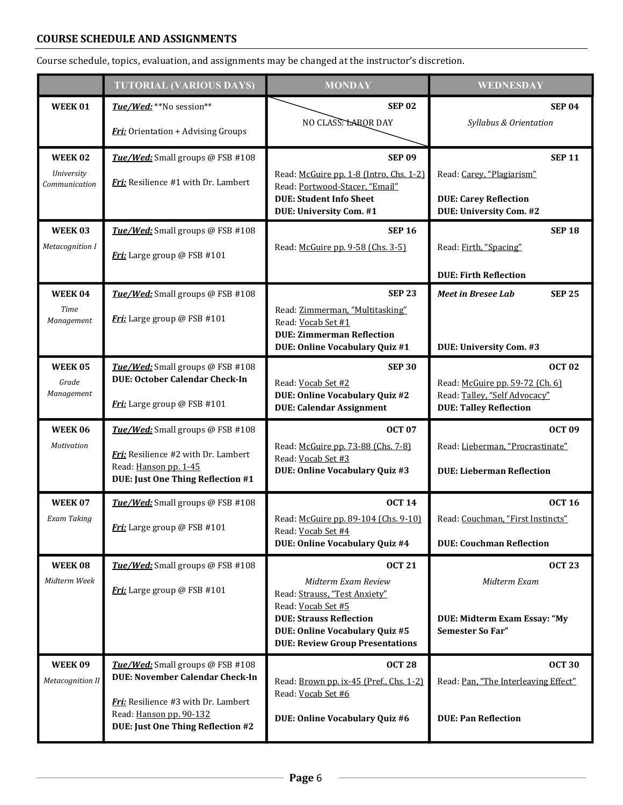## **COURSE SCHEDULE AND ASSIGNMENTS**

Course schedule, topics, evaluation, and assignments may be changed at the instructor's discretion.

|                                    | <b>TUTORIAL (VARIOUS DAYS)</b>                                 | <b>MONDAY</b>                                                             | WEDNESDAY                                                      |
|------------------------------------|----------------------------------------------------------------|---------------------------------------------------------------------------|----------------------------------------------------------------|
| <b>WEEK01</b>                      | Tue/Wed: **No session**                                        | <b>SEP 02</b>                                                             | <b>SEP 04</b>                                                  |
|                                    | Fri: Orientation + Advising Groups                             | NO CLASS: LABOR DAY                                                       | Syllabus & Orientation                                         |
| <b>WEEK02</b>                      | Tue/Wed: Small groups @ FSB #108                               | <b>SEP 09</b>                                                             | <b>SEP 11</b>                                                  |
| <b>University</b><br>Communication | Fri: Resilience #1 with Dr. Lambert                            | Read: McGuire pp. 1-8 (Intro, Chs. 1-2)<br>Read: Portwood-Stacer, "Email" | Read: Carey, "Plagiarism"                                      |
|                                    |                                                                | <b>DUE: Student Info Sheet</b><br>DUE: University Com. #1                 | <b>DUE: Carey Reflection</b><br>DUE: University Com. #2        |
| WEEK 03                            | Tue/Wed: Small groups @ FSB #108                               | <b>SEP 16</b>                                                             | <b>SEP 18</b>                                                  |
| Metacognition I                    | Fri: Large group @ FSB #101                                    | Read: McGuire pp. 9-58 (Chs. 3-5)                                         | Read: Firth, "Spacing"                                         |
|                                    |                                                                |                                                                           | <b>DUE: Firth Reflection</b>                                   |
| <b>WEEK 04</b>                     | Tue/Wed: Small groups @ FSB #108                               | <b>SEP 23</b>                                                             | <b>Meet in Bresee Lab</b><br><b>SEP 25</b>                     |
| Time<br>Management                 | Fri: Large group @ FSB #101                                    | Read: Zimmerman, "Multitasking"<br>Read: Vocab Set #1                     |                                                                |
|                                    |                                                                | <b>DUE: Zimmerman Reflection</b><br>DUE: Online Vocabulary Quiz #1        | DUE: University Com. #3                                        |
| <b>WEEK05</b>                      | Tue/Wed: Small groups @ FSB #108                               | <b>SEP 30</b>                                                             | <b>OCT 02</b>                                                  |
| Grade<br>Management                | <b>DUE: October Calendar Check-In</b>                          | Read: Vocab Set #2                                                        | Read: McGuire pp. 59-72 (Ch. 6)                                |
|                                    | Fri: Large group @ FSB #101                                    | DUE: Online Vocabulary Quiz #2<br><b>DUE: Calendar Assignment</b>         | Read: Talley, "Self Advocacy"<br><b>DUE: Talley Reflection</b> |
| <b>WEEK 06</b>                     | Tue/Wed: Small groups @ FSB #108                               | <b>OCT 07</b>                                                             | <b>OCT 09</b>                                                  |
| Motivation                         | Fri: Resilience #2 with Dr. Lambert                            | Read: McGuire pp. 73-88 (Chs. 7-8)<br>Read: Vocab Set #3                  | Read: Lieberman, "Procrastinate"                               |
|                                    | Read: Hanson pp. 1-45<br>DUE: Just One Thing Reflection #1     | DUE: Online Vocabulary Quiz #3                                            | <b>DUE: Lieberman Reflection</b>                               |
| <b>WEEK 07</b>                     | Tue/Wed: Small groups @ FSB #108                               | <b>OCT 14</b>                                                             | <b>OCT 16</b>                                                  |
| Exam Taking                        | Fri: Large group @ FSB #101                                    | Read: McGuire pp. 89-104 (Chs. 9-10)<br>Read: Vocab Set #4                | Read: Couchman, "First Instincts"                              |
|                                    |                                                                | <b>DUE: Online Vocabulary Quiz #4</b>                                     | <b>DUE: Couchman Reflection</b>                                |
| <b>WEEK 08</b>                     | Tue/Wed: Small groups @ FSB #108                               | <b>OCT 21</b>                                                             | <b>OCT 23</b>                                                  |
| Midterm Week                       | Fri: Large group @ FSB #101                                    | Midterm Exam Review<br>Read: Strauss, "Test Anxiety"                      | Midterm Exam                                                   |
|                                    |                                                                | Read: Vocab Set #5<br><b>DUE: Strauss Reflection</b>                      | DUE: Midterm Exam Essay: "My                                   |
|                                    |                                                                | DUE: Online Vocabulary Quiz #5<br><b>DUE: Review Group Presentations</b>  | <b>Semester So Far"</b>                                        |
| <b>WEEK09</b>                      | Tue/Wed: Small groups @ FSB #108                               | <b>OCT 28</b>                                                             | <b>OCT 30</b>                                                  |
| <b>Metacognition II</b>            | <b>DUE: November Calendar Check-In</b>                         | Read: Brown pp. ix-45 (Pref., Chs. 1-2)<br>Read: Vocab Set #6             | Read: Pan, "The Interleaving Effect"                           |
|                                    | Fri: Resilience #3 with Dr. Lambert<br>Read: Hanson pp. 90-132 |                                                                           |                                                                |
|                                    | DUE: Just One Thing Reflection #2                              | DUE: Online Vocabulary Quiz #6                                            | <b>DUE: Pan Reflection</b>                                     |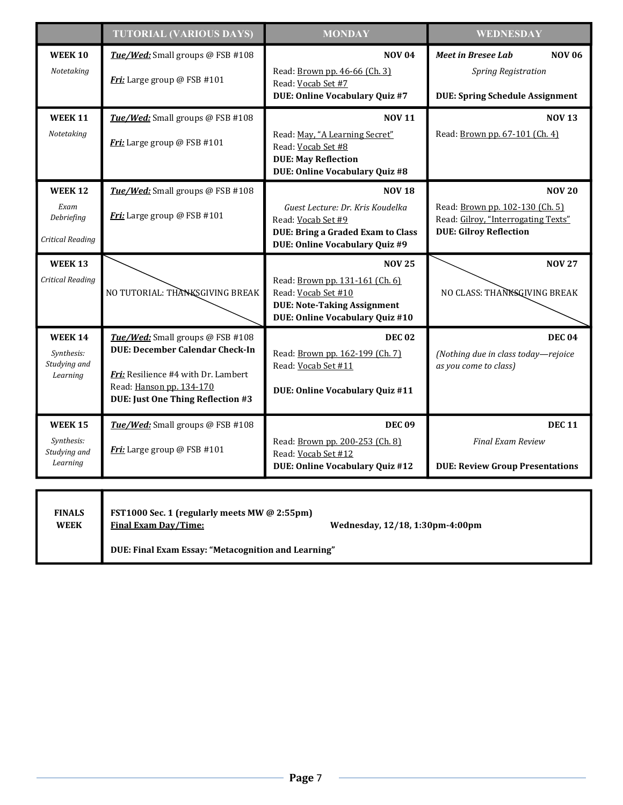|                                                          | <b>TUTORIAL (VARIOUS DAYS)</b>                                                                                                                                                                   | <b>MONDAY</b>                                                                                                                                                | <b>WEDNESDAY</b>                                                                                                         |  |  |
|----------------------------------------------------------|--------------------------------------------------------------------------------------------------------------------------------------------------------------------------------------------------|--------------------------------------------------------------------------------------------------------------------------------------------------------------|--------------------------------------------------------------------------------------------------------------------------|--|--|
| <b>WEEK 10</b><br>Notetaking                             | Tue/Wed: Small groups @ FSB #108<br>Fri: Large group @ FSB #101                                                                                                                                  | <b>NOV 04</b><br>Read: Brown pp. 46-66 (Ch. 3)<br>Read: Vocab Set #7<br>DUE: Online Vocabulary Quiz #7                                                       | <b>NOV 06</b><br><b>Meet in Bresee Lab</b><br><b>Spring Registration</b><br><b>DUE: Spring Schedule Assignment</b>       |  |  |
| <b>WEEK 11</b><br>Notetaking                             | Tue/Wed: Small groups @ FSB #108<br>Fri: Large group @ FSB #101                                                                                                                                  | <b>NOV 11</b><br>Read: May, "A Learning Secret"<br>Read: Vocab Set #8<br><b>DUE: May Reflection</b><br><b>DUE: Online Vocabulary Quiz #8</b>                 | <b>NOV 13</b><br>Read: Brown pp. 67-101 (Ch. 4)                                                                          |  |  |
| <b>WEEK 12</b><br>Exam<br>Debriefing<br>Critical Reading | Tue/Wed: Small groups @ FSB #108<br>Fri: Large group @ FSB #101                                                                                                                                  | <b>NOV 18</b><br>Guest Lecture: Dr. Kris Koudelka<br>Read: Vocab Set #9<br><b>DUE: Bring a Graded Exam to Class</b><br><b>DUE: Online Vocabulary Quiz #9</b> | <b>NOV 20</b><br>Read: Brown pp. 102-130 (Ch. 5)<br>Read: Gilroy, "Interrogating Texts"<br><b>DUE: Gilroy Reflection</b> |  |  |
| <b>WEEK 13</b><br>Critical Reading                       | NO TUTORIAL: THANKSGIVING BREAK                                                                                                                                                                  | <b>NOV 25</b><br>Read: Brown pp. 131-161 (Ch. 6)<br>Read: Vocab Set #10<br><b>DUE: Note-Taking Assignment</b><br><b>DUE: Online Vocabulary Quiz #10</b>      | <b>NOV 27</b><br>NO CLASS: THANKSQIVING BREAK                                                                            |  |  |
| <b>WEEK 14</b><br>Synthesis:<br>Studying and<br>Learning | Tue/Wed: Small groups @ FSB #108<br><b>DUE: December Calendar Check-In</b><br><b>Fri:</b> Resilience #4 with Dr. Lambert<br>Read: Hanson pp. 134-170<br><b>DUE: Just One Thing Reflection #3</b> | <b>DEC 02</b><br>Read: Brown pp. 162-199 (Ch. 7)<br>Read: Vocab Set #11<br>DUE: Online Vocabulary Quiz #11                                                   | <b>DEC 04</b><br>(Nothing due in class today-rejoice<br>as you come to class)                                            |  |  |
| <b>WEEK 15</b><br>Synthesis:<br>Studying and<br>Learning | Tue/Wed: Small groups @ FSB #108<br>Fri: Large group @ FSB #101                                                                                                                                  | <b>DEC 09</b><br>Read: Brown pp. 200-253 (Ch. 8)<br>Read: Vocab Set #12<br><b>DUE: Online Vocabulary Quiz #12</b>                                            | <b>DEC 11</b><br><b>Final Exam Review</b><br><b>DUE: Review Group Presentations</b>                                      |  |  |
| <b>FINALS</b><br><b>WEEK</b>                             | FST1000 Sec. 1 (regularly meets MW @ 2:55pm)<br><b>Final Exam Day/Time:</b><br>Wednesday, 12/18, 1:30pm-4:00pm                                                                                   |                                                                                                                                                              |                                                                                                                          |  |  |

**WEEK**

**DUE: Final Exam Essay: "Metacognition and Learning"**